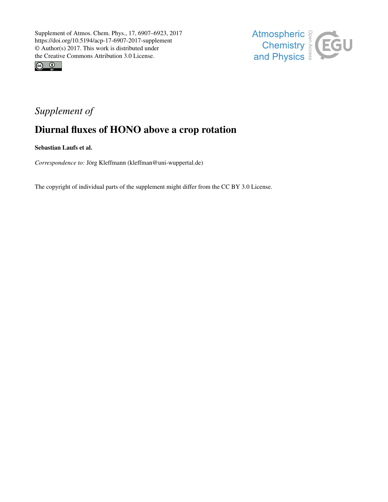



## *Supplement of*

## Diurnal fluxes of HONO above a crop rotation

Sebastian Laufs et al.

*Correspondence to:* Jörg Kleffmann (kleffman@uni-wuppertal.de)

The copyright of individual parts of the supplement might differ from the CC BY 3.0 License.